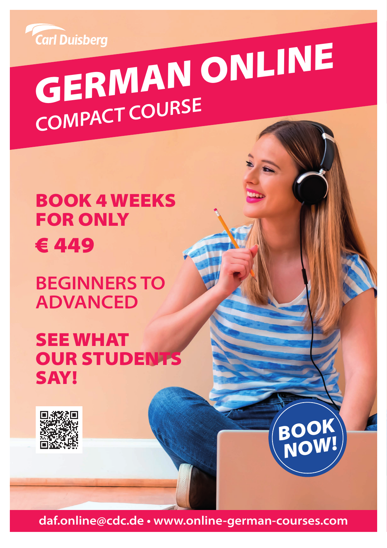

# Carl Duisberg<br>**GERMAN ONLINE** *COMPACT COURSE*

## BOOK 4 WEEKS FOR ONLY € 449

## **BEGINNERS TO ADVANCED**

## SEE WHAT OUR STUDENTS SAY!



**daf.online@cdc.de • www.online-german-courses.com**

*BOOK*

*NOW!*